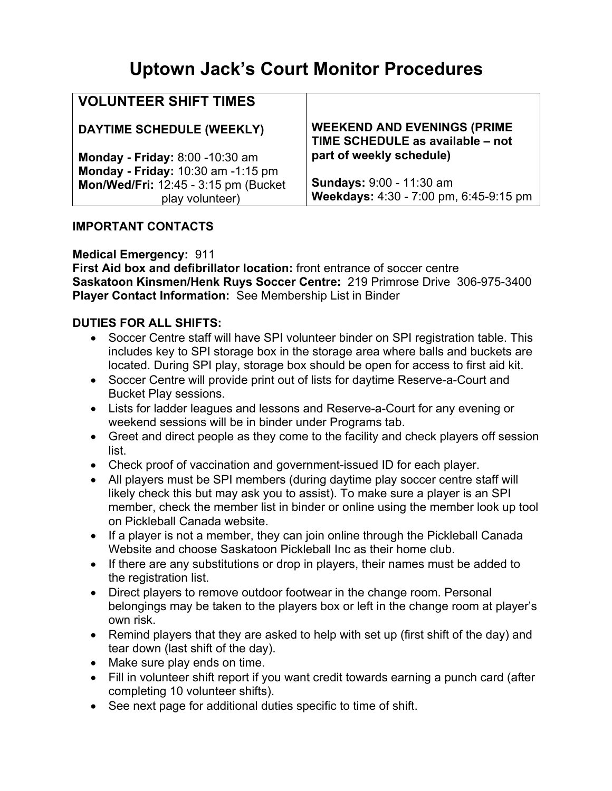# **Uptown Jack's Court Monitor Procedures**

| <b>VOLUNTEER SHIFT TIMES</b>         |                                                                        |
|--------------------------------------|------------------------------------------------------------------------|
| DAYTIME SCHEDULE (WEEKLY)            | <b>WEEKEND AND EVENINGS (PRIME</b><br>TIME SCHEDULE as available - not |
| Monday - Friday: 8:00 -10:30 am      | part of weekly schedule)                                               |
| Monday - Friday: 10:30 am -1:15 pm   |                                                                        |
| Mon/Wed/Fri: 12:45 - 3:15 pm (Bucket | <b>Sundays: 9:00 - 11:30 am</b>                                        |
| play volunteer)                      | Weekdays: 4:30 - 7:00 pm, 6:45-9:15 pm                                 |

## **IMPORTANT CONTACTS**

### **Medical Emergency:** 911

**First Aid box and defibrillator location:** front entrance of soccer centre **Saskatoon Kinsmen/Henk Ruys Soccer Centre:** 219 Primrose Drive 306-975-3400 **Player Contact Information:** See Membership List in Binder

## **DUTIES FOR ALL SHIFTS:**

- Soccer Centre staff will have SPI volunteer binder on SPI registration table. This includes key to SPI storage box in the storage area where balls and buckets are located. During SPI play, storage box should be open for access to first aid kit.
- Soccer Centre will provide print out of lists for daytime Reserve-a-Court and Bucket Play sessions.
- Lists for ladder leagues and lessons and Reserve-a-Court for any evening or weekend sessions will be in binder under Programs tab.
- Greet and direct people as they come to the facility and check players off session list.
- Check proof of vaccination and government-issued ID for each player.
- All players must be SPI members (during daytime play soccer centre staff will likely check this but may ask you to assist). To make sure a player is an SPI member, check the member list in binder or online using the member look up tool on Pickleball Canada website.
- If a player is not a member, they can join online through the Pickleball Canada Website and choose Saskatoon Pickleball Inc as their home club.
- If there are any substitutions or drop in players, their names must be added to the registration list.
- Direct players to remove outdoor footwear in the change room. Personal belongings may be taken to the players box or left in the change room at player's own risk.
- Remind players that they are asked to help with set up (first shift of the day) and tear down (last shift of the day).
- Make sure play ends on time.
- Fill in volunteer shift report if you want credit towards earning a punch card (after completing 10 volunteer shifts).
- See next page for additional duties specific to time of shift.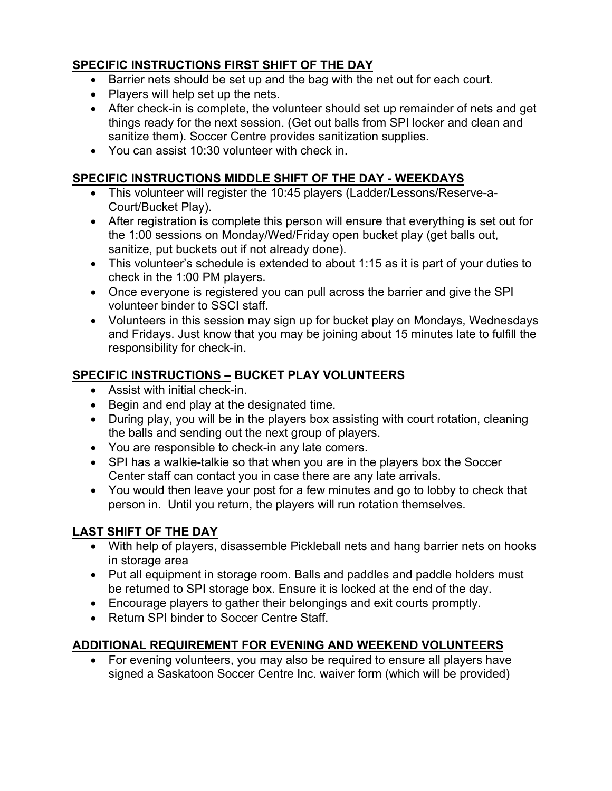## **SPECIFIC INSTRUCTIONS FIRST SHIFT OF THE DAY**

- Barrier nets should be set up and the bag with the net out for each court.
- Players will help set up the nets.
- After check-in is complete, the volunteer should set up remainder of nets and get things ready for the next session. (Get out balls from SPI locker and clean and sanitize them). Soccer Centre provides sanitization supplies.
- You can assist 10:30 volunteer with check in.

## **SPECIFIC INSTRUCTIONS MIDDLE SHIFT OF THE DAY - WEEKDAYS**

- This volunteer will register the 10:45 players (Ladder/Lessons/Reserve-a-Court/Bucket Play).
- After registration is complete this person will ensure that everything is set out for the 1:00 sessions on Monday/Wed/Friday open bucket play (get balls out, sanitize, put buckets out if not already done).
- This volunteer's schedule is extended to about 1:15 as it is part of your duties to check in the 1:00 PM players.
- Once everyone is registered you can pull across the barrier and give the SPI volunteer binder to SSCI staff.
- Volunteers in this session may sign up for bucket play on Mondays, Wednesdays and Fridays. Just know that you may be joining about 15 minutes late to fulfill the responsibility for check-in.

## **SPECIFIC INSTRUCTIONS – BUCKET PLAY VOLUNTEERS**

- Assist with initial check-in.
- Begin and end play at the designated time.
- During play, you will be in the players box assisting with court rotation, cleaning the balls and sending out the next group of players.
- You are responsible to check-in any late comers.
- SPI has a walkie-talkie so that when you are in the players box the Soccer Center staff can contact you in case there are any late arrivals.
- You would then leave your post for a few minutes and go to lobby to check that person in. Until you return, the players will run rotation themselves.

## **LAST SHIFT OF THE DAY**

- With help of players, disassemble Pickleball nets and hang barrier nets on hooks in storage area
- Put all equipment in storage room. Balls and paddles and paddle holders must be returned to SPI storage box. Ensure it is locked at the end of the day.
- Encourage players to gather their belongings and exit courts promptly.
- Return SPI binder to Soccer Centre Staff.

## **ADDITIONAL REQUIREMENT FOR EVENING AND WEEKEND VOLUNTEERS**

• For evening volunteers, you may also be required to ensure all players have signed a Saskatoon Soccer Centre Inc. waiver form (which will be provided)